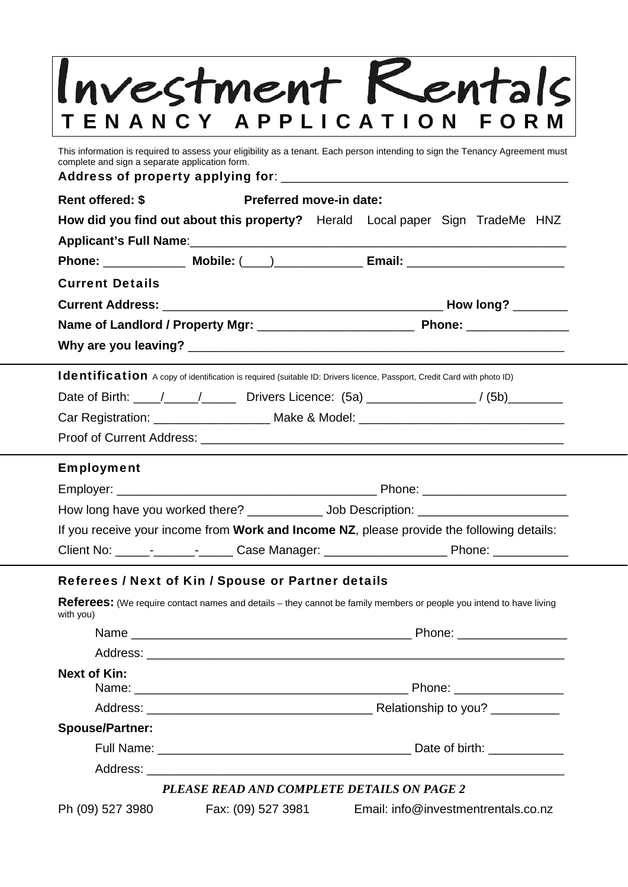|                                                                   | Investment Kentals                                                                                                            |  |  |  |
|-------------------------------------------------------------------|-------------------------------------------------------------------------------------------------------------------------------|--|--|--|
|                                                                   |                                                                                                                               |  |  |  |
| ENANCY APPLICATION                                                | F O                                                                                                                           |  |  |  |
| complete and sign a separate application form.                    | This information is required to assess your eligibility as a tenant. Each person intending to sign the Tenancy Agreement must |  |  |  |
|                                                                   |                                                                                                                               |  |  |  |
| <b>Rent offered: \$</b><br>Preferred move-in date:                |                                                                                                                               |  |  |  |
|                                                                   | How did you find out about this property? Herald Local paper Sign TradeMe HNZ                                                 |  |  |  |
|                                                                   |                                                                                                                               |  |  |  |
|                                                                   |                                                                                                                               |  |  |  |
| <b>Current Details</b>                                            |                                                                                                                               |  |  |  |
|                                                                   |                                                                                                                               |  |  |  |
|                                                                   |                                                                                                                               |  |  |  |
|                                                                   |                                                                                                                               |  |  |  |
|                                                                   | Identification A copy of identification is required (suitable ID: Drivers licence, Passport, Credit Card with photo ID)       |  |  |  |
|                                                                   | Date of Birth: \____/ _____/ _______ Drivers Licence: (5a) _________________/ (5b) _________                                  |  |  |  |
|                                                                   | Car Registration: ______________________ Make & Model: _________________________                                              |  |  |  |
|                                                                   |                                                                                                                               |  |  |  |
| <b>Employment</b>                                                 |                                                                                                                               |  |  |  |
|                                                                   |                                                                                                                               |  |  |  |
| How long have you worked there? _____________ Job Description: __ |                                                                                                                               |  |  |  |
|                                                                   | If you receive your income from Work and Income NZ, please provide the following details:                                     |  |  |  |
|                                                                   |                                                                                                                               |  |  |  |
| Referees / Next of Kin / Spouse or Partner details                |                                                                                                                               |  |  |  |
|                                                                   | <b>Referees:</b> (We require contact names and details – they cannot be family members or people you intend to have living    |  |  |  |
| with you)                                                         |                                                                                                                               |  |  |  |
|                                                                   |                                                                                                                               |  |  |  |
|                                                                   |                                                                                                                               |  |  |  |
| <b>Next of Kin:</b>                                               |                                                                                                                               |  |  |  |
|                                                                   |                                                                                                                               |  |  |  |
| <b>Spouse/Partner:</b>                                            |                                                                                                                               |  |  |  |
|                                                                   |                                                                                                                               |  |  |  |
|                                                                   |                                                                                                                               |  |  |  |
|                                                                   | PLEASE READ AND COMPLETE DETAILS ON PAGE 2                                                                                    |  |  |  |
| Ph (09) 527 3980<br>Fax: (09) 527 3981                            | Email: info@investmentrentals.co.nz                                                                                           |  |  |  |